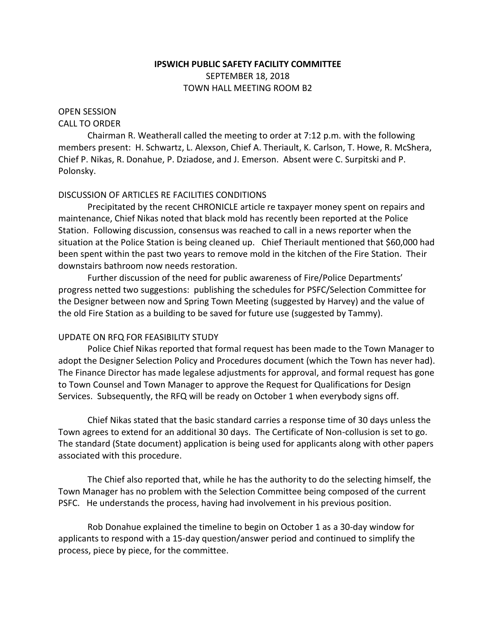## **IPSWICH PUBLIC SAFETY FACILITY COMMITTEE** SEPTEMBER 18, 2018 TOWN HALL MEETING ROOM B2

# OPEN SESSION

# CALL TO ORDER

Chairman R. Weatherall called the meeting to order at 7:12 p.m. with the following members present: H. Schwartz, L. Alexson, Chief A. Theriault, K. Carlson, T. Howe, R. McShera, Chief P. Nikas, R. Donahue, P. Dziadose, and J. Emerson. Absent were C. Surpitski and P. Polonsky.

#### DISCUSSION OF ARTICLES RE FACILITIES CONDITIONS

Precipitated by the recent CHRONICLE article re taxpayer money spent on repairs and maintenance, Chief Nikas noted that black mold has recently been reported at the Police Station. Following discussion, consensus was reached to call in a news reporter when the situation at the Police Station is being cleaned up. Chief Theriault mentioned that \$60,000 had been spent within the past two years to remove mold in the kitchen of the Fire Station. Their downstairs bathroom now needs restoration.

Further discussion of the need for public awareness of Fire/Police Departments' progress netted two suggestions: publishing the schedules for PSFC/Selection Committee for the Designer between now and Spring Town Meeting (suggested by Harvey) and the value of the old Fire Station as a building to be saved for future use (suggested by Tammy).

## UPDATE ON RFQ FOR FEASIBILITY STUDY

Police Chief Nikas reported that formal request has been made to the Town Manager to adopt the Designer Selection Policy and Procedures document (which the Town has never had). The Finance Director has made legalese adjustments for approval, and formal request has gone to Town Counsel and Town Manager to approve the Request for Qualifications for Design Services. Subsequently, the RFQ will be ready on October 1 when everybody signs off.

Chief Nikas stated that the basic standard carries a response time of 30 days unless the Town agrees to extend for an additional 30 days. The Certificate of Non-collusion is set to go. The standard (State document) application is being used for applicants along with other papers associated with this procedure.

The Chief also reported that, while he has the authority to do the selecting himself, the Town Manager has no problem with the Selection Committee being composed of the current PSFC. He understands the process, having had involvement in his previous position.

Rob Donahue explained the timeline to begin on October 1 as a 30-day window for applicants to respond with a 15-day question/answer period and continued to simplify the process, piece by piece, for the committee.